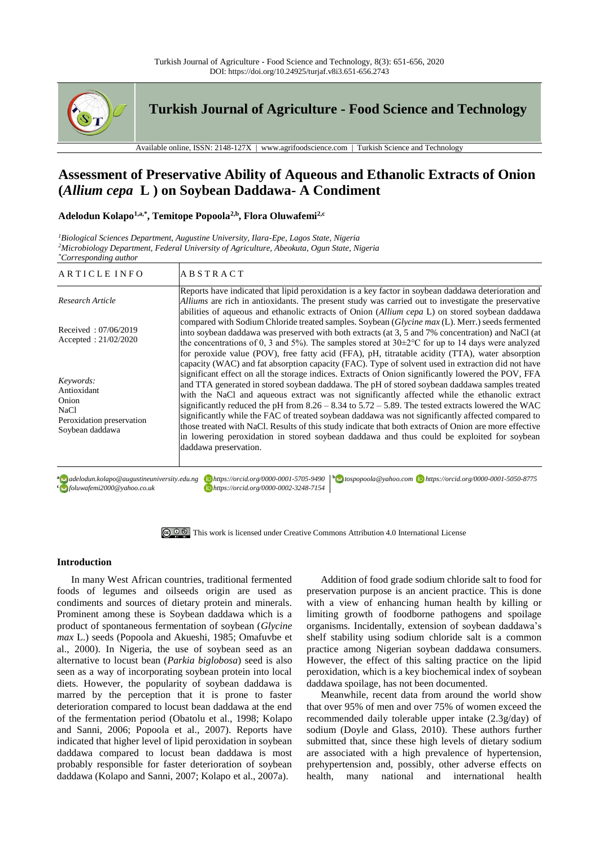

**Turkish Journal of Agriculture - Food Science and Technology**

Available online, ISSN: 2148-127X | www.agrifoodscience.com | Turkish Science and Technology

# **Assessment of Preservative Ability of Aqueous and Ethanolic Extracts of Onion (***Allium cepa* **L ) on Soybean Daddawa- A Condiment**

## **Adelodun Kolapo1,a,\* , Temitope Popoola2,b, Flora Oluwafemi2,c**

*<sup>1</sup>Biological Sciences Department, Augustine University, Ilara-Epe, Lagos State, Nigeria <sup>2</sup>Microbiology Department, Federal University of Agriculture, Abeokuta, Ogun State, Nigeria \*Corresponding author*

| ARTICLE INFO                                                                               | <b>ABSTRACT</b>                                                                                                                                                                                                                                                                                                                                                                                                                                                                                                                                                                                                                                                                                                                                                                                                                                           |
|--------------------------------------------------------------------------------------------|-----------------------------------------------------------------------------------------------------------------------------------------------------------------------------------------------------------------------------------------------------------------------------------------------------------------------------------------------------------------------------------------------------------------------------------------------------------------------------------------------------------------------------------------------------------------------------------------------------------------------------------------------------------------------------------------------------------------------------------------------------------------------------------------------------------------------------------------------------------|
| Research Article                                                                           | Reports have indicated that lipid peroxidation is a key factor in soybean daddawa deterioration and<br>Alliums are rich in antioxidants. The present study was carried out to investigate the preservative<br>abilities of aqueous and ethanolic extracts of Onion (Allium cepa L) on stored soybean daddawa                                                                                                                                                                                                                                                                                                                                                                                                                                                                                                                                              |
| Received: 07/06/2019<br>Accepted: $21/02/2020$                                             | compared with Sodium Chloride treated samples. Soybean (Glycine max (L). Merr.) seeds fermented<br>into soybean daddawa was preserved with both extracts (at 3, 5 and 7% concentration) and NaCl (at<br>the concentrations of 0, 3 and 5%). The samples stored at $30\pm2\degree$ C for up to 14 days were analyzed<br>for peroxide value (POV), free fatty acid (FFA), pH, titratable acidity (TTA), water absorption                                                                                                                                                                                                                                                                                                                                                                                                                                    |
| Keywords:<br>Antioxidant<br>Onion<br>NaCl.<br>Peroxidation preservation<br>Soybean daddawa | capacity (WAC) and fat absorption capacity (FAC). Type of solvent used in extraction did not have<br>significant effect on all the storage indices. Extracts of Onion significantly lowered the POV, FFA<br>and TTA generated in stored soybean daddawa. The pH of stored soybean daddawa samples treated<br>with the NaCl and aqueous extract was not significantly affected while the ethanolic extract<br>significantly reduced the pH from $8.26 - 8.34$ to $5.72 - 5.89$ . The tested extracts lowered the WAC<br>significantly while the FAC of treated soybean daddawa was not significantly affected compared to<br>those treated with NaCl. Results of this study indicate that both extracts of Onion are more effective<br>in lowering peroxidation in stored soybean daddawa and thus could be exploited for soybean<br>daddawa preservation. |

composition of the following following control of the following control of the following of the following control of the following control of the following control of the following control of the following control of the f

**<sup>a</sup>** *adelodun.kolapo@augustineuniversity.edu.ng https://orcid.org/0000-0001-5705-9490***<sup>b</sup>** *tospopoola@yahoo.com https://orcid.org/0000-0001-5050-8775 foluwafemi2000@yahoo.co.uk https://orcid.org/0000-0002-3248-7154*



### **Introduction**

In many West African countries, traditional fermented foods of legumes and oilseeds origin are used as condiments and sources of dietary protein and minerals. Prominent among these is Soybean daddawa which is a product of spontaneous fermentation of soybean (*Glycine max* L.) seeds (Popoola and Akueshi, 1985; Omafuvbe et al., 2000). In Nigeria, the use of soybean seed as an alternative to locust bean (*Parkia biglobosa*) seed is also seen as a way of incorporating soybean protein into local diets. However, the popularity of soybean daddawa is marred by the perception that it is prone to faster deterioration compared to locust bean daddawa at the end of the fermentation period (Obatolu et al., 1998; Kolapo and Sanni, 2006; Popoola et al., 2007). Reports have indicated that higher level of lipid peroxidation in soybean daddawa compared to locust bean daddawa is most probably responsible for faster deterioration of soybean daddawa (Kolapo and Sanni, 2007; Kolapo et al., 2007a).

Addition of food grade sodium chloride salt to food for preservation purpose is an ancient practice. This is done with a view of enhancing human health by killing or limiting growth of foodborne pathogens and spoilage organisms. Incidentally, extension of soybean daddawa's shelf stability using sodium chloride salt is a common practice among Nigerian soybean daddawa consumers. However, the effect of this salting practice on the lipid peroxidation, which is a key biochemical index of soybean daddawa spoilage, has not been documented.

Meanwhile, recent data from around the world show that over 95% of men and over 75% of women exceed the recommended daily tolerable upper intake (2.3g/day) of sodium (Doyle and Glass, 2010). These authors further submitted that, since these high levels of dietary sodium are associated with a high prevalence of hypertension, prehypertension and, possibly, other adverse effects on health, many national and international health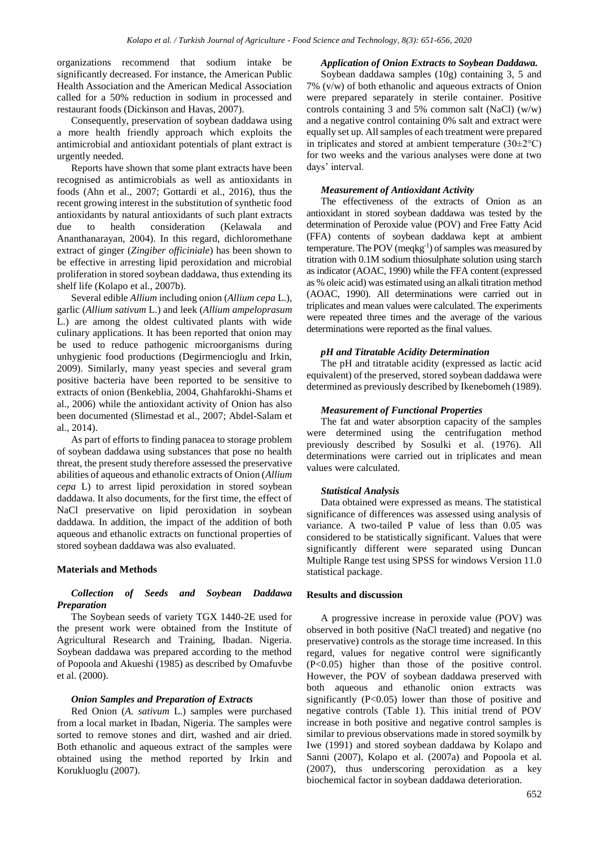organizations recommend that sodium intake be significantly decreased. For instance, the American Public Health Association and the American Medical Association called for a 50% reduction in sodium in processed and restaurant foods (Dickinson and Havas, 2007).

Consequently, preservation of soybean daddawa using a more health friendly approach which exploits the antimicrobial and antioxidant potentials of plant extract is urgently needed.

Reports have shown that some plant extracts have been recognised as antimicrobials as well as antioxidants in foods (Ahn et al., 2007; Gottardi et al., 2016), thus the recent growing interest in the substitution of synthetic food antioxidants by natural antioxidants of such plant extracts due to health consideration (Kelawala and Ananthanarayan, 2004). In this regard, dichloromethane extract of ginger (*Zingiber officiniale*) has been shown to be effective in arresting lipid peroxidation and microbial proliferation in stored soybean daddawa, thus extending its shelf life (Kolapo et al., 2007b).

Several edible *Allium* including onion (*Allium cepa* L.), garlic (*Allium sativum* L.) and leek (*Allium ampeloprasum*  L.) are among the oldest cultivated plants with wide culinary applications. It has been reported that onion may be used to reduce pathogenic microorganisms during unhygienic food productions (Degirmencioglu and Irkin, 2009). Similarly, many yeast species and several gram positive bacteria have been reported to be sensitive to extracts of onion (Benkeblia, 2004, Ghahfarokhi-Shams et al., 2006) while the antioxidant activity of Onion has also been documented (Slimestad et al., 2007; Abdel-Salam et al., 2014).

As part of efforts to finding panacea to storage problem of soybean daddawa using substances that pose no health threat, the present study therefore assessed the preservative abilities of aqueous and ethanolic extracts of Onion (*Allium cepa* L) to arrest lipid peroxidation in stored soybean daddawa. It also documents, for the first time, the effect of NaCl preservative on lipid peroxidation in soybean daddawa. In addition, the impact of the addition of both aqueous and ethanolic extracts on functional properties of stored soybean daddawa was also evaluated.

## **Materials and Methods**

# *Collection of Seeds and Soybean Daddawa Preparation*

The Soybean seeds of variety TGX 1440-2E used for the present work were obtained from the Institute of Agricultural Research and Training, Ibadan. Nigeria. Soybean daddawa was prepared according to the method of Popoola and Akueshi (1985) as described by Omafuvbe et al. (2000).

## *Onion Samples and Preparation of Extracts*

Red Onion (*A. sativum* L.) samples were purchased from a local market in Ibadan, Nigeria. The samples were sorted to remove stones and dirt, washed and air dried. Both ethanolic and aqueous extract of the samples were obtained using the method reported by Irkin and Korukluoglu (2007).

## *Application of Onion Extracts to Soybean Daddawa.*

Soybean daddawa samples (10g) containing 3, 5 and 7% (v/w) of both ethanolic and aqueous extracts of Onion were prepared separately in sterile container. Positive controls containing 3 and 5% common salt (NaCl) (w/w) and a negative control containing 0% salt and extract were equally set up. All samples of each treatment were prepared in triplicates and stored at ambient temperature  $(30\pm2\degree C)$ for two weeks and the various analyses were done at two days' interval.

## *Measurement of Antioxidant Activity*

The effectiveness of the extracts of Onion as an antioxidant in stored soybean daddawa was tested by the determination of Peroxide value (POV) and Free Fatty Acid (FFA) contents of soybean daddawa kept at ambient temperature. The POV (meqkg<sup>-1</sup>) of samples was measured by titration with 0.1M sodium thiosulphate solution using starch as indicator (AOAC, 1990) while the FFA content (expressed as % oleic acid) was estimated using an alkali titration method (AOAC, 1990). All determinations were carried out in triplicates and mean values were calculated. The experiments were repeated three times and the average of the various determinations were reported as the final values.

### *pH and Titratable Acidity Determination*

The pH and titratable acidity (expressed as lactic acid equivalent) of the preserved, stored soybean daddawa were determined as previously described by Ikenebomeh (1989).

#### *Measurement of Functional Properties*

The fat and water absorption capacity of the samples were determined using the centrifugation method previously described by Sosulki et al. (1976). All determinations were carried out in triplicates and mean values were calculated.

### *Statistical Analysis*

Data obtained were expressed as means. The statistical significance of differences was assessed using analysis of variance. A two-tailed P value of less than 0.05 was considered to be statistically significant. Values that were significantly different were separated using Duncan Multiple Range test using SPSS for windows Version 11.0 statistical package.

## **Results and discussion**

A progressive increase in peroxide value (POV) was observed in both positive (NaCl treated) and negative (no preservative) controls as the storage time increased. In this regard, values for negative control were significantly (P<0.05) higher than those of the positive control. However, the POV of soybean daddawa preserved with both aqueous and ethanolic onion extracts was significantly (P<0.05) lower than those of positive and negative controls (Table 1). This initial trend of POV increase in both positive and negative control samples is similar to previous observations made in stored soymilk by Iwe (1991) and stored soybean daddawa by Kolapo and Sanni (2007), Kolapo et al. (2007a) and Popoola et al. (2007), thus underscoring peroxidation as a key biochemical factor in soybean daddawa deterioration.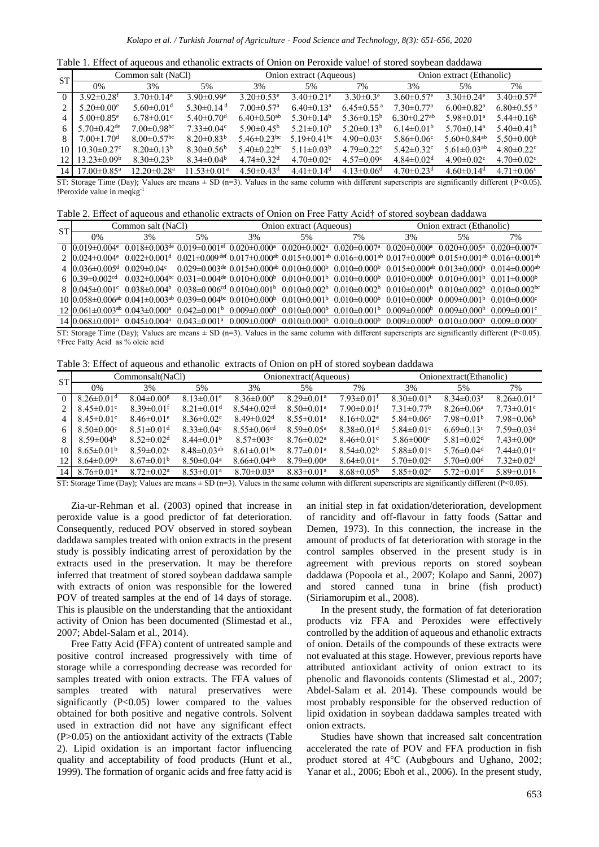Table 1. Effect of aqueous and ethanolic extracts of Onion on Peroxide value! of stored soybean daddawa

| <b>ST</b>                                | Common salt (NaCl)            |                                  |                              |                               | Onion extract (Aqueous)       |                              | Onion extract (Ethanolic)    |                                                                                     |                              |
|------------------------------------------|-------------------------------|----------------------------------|------------------------------|-------------------------------|-------------------------------|------------------------------|------------------------------|-------------------------------------------------------------------------------------|------------------------------|
|                                          | 0%                            | 3%                               | 5%                           | 3%                            | 5%                            | 7%                           | 3%                           | 5%                                                                                  | 7%                           |
| $\Omega$                                 | $3.92 \pm 0.28$ <sup>f</sup>  | $3.70 \pm 0.14$ <sup>e</sup>     | $3.90 \pm 0.99$ <sup>e</sup> | $3.20 \pm 0.53$ <sup>e</sup>  | $3.40 \pm 0.21$ <sup>e</sup>  | $3.30 \pm 0.3$ <sup>e</sup>  | $3.60 \pm 0.57$ <sup>e</sup> | $3.30 \pm 0.24$ <sup>e</sup>                                                        | $3.40 \pm 0.57$ <sup>d</sup> |
|                                          | $5.20 \pm 0.00$ <sup>e</sup>  | $5.60 \pm 0.01$ <sup>d</sup>     | $5.30\pm0.14$ <sup>d</sup>   | $7.00 \pm 0.57$ <sup>a</sup>  | $6.40 \pm 0.13$ <sup>a</sup>  | $6.45 \pm 0.55$ <sup>a</sup> | $7.30 \pm 0.77$ <sup>a</sup> | $6.00 \pm 0.82$ <sup>a</sup>                                                        | $6.80 \pm 0.55$ <sup>a</sup> |
|                                          | $5.00 \pm 0.85$ <sup>e</sup>  | $6.78 \pm 0.01$ <sup>c</sup>     | $5.40 \pm 0.70$ <sup>d</sup> | $6.40 \pm 0.50$ <sup>ab</sup> | $5.30\pm0.14^b$               | $5.36\pm0.15^{\rm b}$        | $6.30\pm0.27$ <sup>ab</sup>  | $5.98 \pm 0.01$ <sup>a</sup>                                                        | $5.44\pm0.16^b$              |
| 6                                        | $5.70 \pm 0.42$ <sup>de</sup> | $7.00 \pm 0.98$ <sup>bc</sup>    | $7.33 \pm 0.04$ <sup>c</sup> | $5.90 \pm 0.45^{\rm b}$       | $5.21 \pm 0.10^b$             | $5.20\pm0.13^b$              | $6.14 \pm 0.01^{\rm b}$      | $5.70 \pm 0.14$ <sup>a</sup>                                                        | $5.40\pm0.41b$               |
|                                          | $7.00 \pm 1.70$ <sup>d</sup>  | $8.00 \pm 0.57$ <sup>bc</sup>    | $8.20 \pm 0.83^b$            | 5.46 $\pm$ 0.23 <sup>bc</sup> | 5.19 $\pm$ 0.41 <sup>bc</sup> | $4.90 \pm 0.03$ <sup>c</sup> | 5.86 $\pm$ 0.06 <sup>c</sup> | 5.60 $\pm$ 0.84 <sup>ab</sup>                                                       | $5.50 \pm 0.00^{\rm b}$      |
| 10                                       | $10.30 \pm 0.27$ °            | $8.20 \pm 0.13^b$                | $8.30\pm0.56^{\rm b}$        | $5.40 \pm 0.22$ <sup>bc</sup> | 5.11 $\pm$ 0.03 <sup>b</sup>  | $4.79 \pm 0.22$ <sup>c</sup> | 5.42 $\pm$ 0.32 $\rm{c}$     | 5.61 $\pm$ 0.03 <sup>ab</sup>                                                       | $4.80 \pm 0.22$ <sup>c</sup> |
| 12.                                      | $13.23 \pm 0.09^{\rm b}$      | $8.30 \pm 0.23^b$                | $8.34 \pm 0.04^b$            | $4.74 \pm 0.32$ <sup>d</sup>  | $4.70 \pm 0.02$ <sup>c</sup>  | $4.57 \pm 0.09$ <sup>c</sup> | $4.84 \pm 0.02$ <sup>d</sup> | $4.90 \pm 0.02$ <sup>c</sup>                                                        | $4.70 \pm 0.02$ <sup>c</sup> |
| 14 <sup>1</sup>                          | $17.00 \pm 0.85$ <sup>a</sup> | $12.20 \pm 0.28$ <sup>a</sup>    | $11.53 \pm 0.01^a$           | $4.50 \pm 0.43$ <sup>d</sup>  | $4.41 \pm 0.14$ <sup>d</sup>  | $4.13 \pm 0.06$ <sup>d</sup> | $4.70 \pm 0.23$ <sup>d</sup> | $4.60 \pm 0.14$ <sup>d</sup>                                                        | $4.71 \pm 0.06$ <sup>c</sup> |
| $\alpha$ $\beta$ $\beta$ $\beta$ $\beta$ | $\mathbf{r}$                  | $\sqrt{2}$ $\sqrt{2}$ $\sqrt{2}$ | $\sim$ $\sim$ $\sim$         | $\cdot$ $\cdot$<br>21         |                               | $1.1 - 11.00$                |                              | $\frac{1}{2}$ $\frac{1}{2}$ $\frac{1}{2}$ $\frac{1}{2}$ $\frac{1}{2}$ $\frac{1}{2}$ | $\sqrt{D}$ $\wedge$ $\wedge$ |

ST: Storage Time (Day); Values are means  $\pm$  SD (n=3). Values in the same column with different superscripts are significantly different (P<0.05). !Peroxide value in meqkg-1

| Table 2. Effect of aqueous and ethanolic extracts of Onion on Free Fatty Acid+ of stored sovbean daddawa |
|----------------------------------------------------------------------------------------------------------|
|----------------------------------------------------------------------------------------------------------|

| <b>ST</b> | Common salt (NaCl)              |    |                                                                                                                                                                                                                                                                                           |    | Onion extract (Aqueous) |    | Onion extract (Ethanolic) |    |    |
|-----------|---------------------------------|----|-------------------------------------------------------------------------------------------------------------------------------------------------------------------------------------------------------------------------------------------------------------------------------------------|----|-------------------------|----|---------------------------|----|----|
|           | 0%                              | 3% | 5%                                                                                                                                                                                                                                                                                        | 3% | 5%                      | 7% | 3%                        | 5% | 7% |
|           |                                 |    | $0.019\pm0.004$ ° $0.018\pm0.003$ <sup>de</sup> $0.019\pm0.001$ <sup>ef</sup> $0.020\pm0.000$ <sup>a</sup> $0.020\pm0.002$ <sup>a</sup> $0.020\pm0.007$ <sup>a</sup> $0.020\pm0.000$ <sup>a</sup> $0.020\pm0.005$ <sup>a</sup> $0.020\pm0.005$ <sup>a</sup>                               |    |                         |    |                           |    |    |
|           | 2.10.024 $\pm$ 0.004 $\text{e}$ |    | $0.022\pm0.001^{\text{d}}$ $0.021\pm0.009^{\text{def}}$ $0.017\pm0.000^{\text{ab}}$ $0.015\pm0.001^{\text{ab}}$ $0.016\pm0.001^{\text{ab}}$ $0.017\pm0.000^{\text{ab}}$ $0.017\pm0.000^{\text{ab}}$ $0.015\pm0.001^{\text{ab}}$ $0.016\pm0.001^{\text{ab}}$                               |    |                         |    |                           |    |    |
|           |                                 |    | $4\frac{10.036\pm0.005^{\text{d}}}{0.029\pm0.04^{\text{c}}}$ $0.029\pm0.003^{\text{de}}$ $0.015\pm0.000^{\text{ab}}$ $0.010\pm0.000^{\text{b}}$ $0.010\pm0.000^{\text{b}}$ $0.015\pm0.000^{\text{ab}}$ $0.015\pm0.000^{\text{ab}}$ $0.013\pm0.000^{\text{b}}$ $0.014\pm0.000^{\text{ab}}$ |    |                         |    |                           |    |    |
|           |                                 |    | $6\frac{10.39\pm0.002}{10.032\pm0.004}$ $0.032\pm0.004$ $0.031\pm0.004$ $0.010\pm0.000$ $0.010\pm0.001$ $0.010\pm0.000$ $0.010\pm0.000$ $0.010\pm0.001$ $0.010\pm0.001$ $0.011\pm0.000$                                                                                                   |    |                         |    |                           |    |    |
|           |                                 |    | $8.10.045\pm0.001^{\circ}$ $0.038\pm0.004^{\circ}$ $0.038\pm0.006^{\circ d}$ $0.010\pm0.001^{\circ}$ $0.010\pm0.002^{\circ}$ $0.010\pm0.002^{\circ}$ $0.010\pm0.001^{\circ}$ $0.010\pm0.002^{\circ}$ $0.010\pm0.002^{\circ}$ $0.010\pm0.002^{\circ}$                                      |    |                         |    |                           |    |    |
|           |                                 |    | $10\,0.058\pm0.006^{ab}\,$ $0.041\pm0.003^{ab}\,$ $0.039\pm0.004^{bc}\,$ $0.010\pm0.000^{b}\,$ $0.010\pm0.001^{b}\,$ $0.010\pm0.000^{b}\,$ $0.010\pm0.000^{b}\,$ $0.010\pm0.000^{b}\,$ $0.009\pm0.001^{b}\,$ $0.010\pm0.000^{c}\,$                                                        |    |                         |    |                           |    |    |
|           |                                 |    | $12 0.061\pm0.003^{ab} 0.043\pm0.000^{a} 0.042\pm0.001^{b} 0.009\pm0.000^{b} 0.010\pm0.000^{b} 0.010\pm0.001^{b} 0.009\pm0.000^{b} 0.009\pm0.000^{b} 0.009\pm0.000^{b} 0.009\pm0.001^{c} 0.000\pm0.000^{c} 0.000\pm0.000^{c} 0.000\pm0.000^{c} 0.000\pm0.000^{c} 0.000\pm$                |    |                         |    |                           |    |    |
|           |                                 |    | $14\,0.068\pm0.001^a$ $0.045\pm0.004^a$ $0.043\pm0.001^a$ $0.009\pm0.000^b$ $0.010\pm0.000^b$ $0.010\pm0.000^b$ $0.009\pm0.000^b$ $0.010\pm0.000^b$ $0.010\pm0.000^b$ $0.000\pm0.000^b$                                                                                                   |    |                         |    |                           |    |    |
|           |                                 |    | $STc$ Storage Time (Day): Values are means $+ ST(n=3)$ . Values in the same column with different superscripts are significantly different (P<0.05)                                                                                                                                       |    |                         |    |                           |    |    |

T: Storage Time (Day); Values are means  $\pm$  SD (n=3). Values in the same column with different superscripts are significantly different (P<0.05). †Free Fatty Acid as % oleic acid

Table 3: Effect of aqueous and ethanolic extracts of Onion on pH of stored soybean daddawa

| <b>ST</b>                         | Commonsalt(NaCl)             |                              |                               |                                  | Onionextract(Aqueous)        |                              | Onionextract(Ethanolic)      |                              |                              |
|-----------------------------------|------------------------------|------------------------------|-------------------------------|----------------------------------|------------------------------|------------------------------|------------------------------|------------------------------|------------------------------|
|                                   | 0%                           | 3%                           | 5%                            | 3%                               | 5%                           | 7%                           | 3%                           | 5%                           | 7%                           |
| $\Omega$                          | $8.26 \pm 0.01$ <sup>d</sup> | $8.04 \pm 0.00$ <sup>g</sup> | $8.13 \pm 0.01$ <sup>e</sup>  | $8.36 \pm 0.00$ <sup>e</sup>     | $8.29 \pm 0.01$ <sup>a</sup> | $7.93 \pm 0.01$ <sup>f</sup> | $8.30 \pm 0.01$ <sup>a</sup> | $8.34 \pm 0.03$ <sup>a</sup> | $8.26 \pm 0.01$ <sup>a</sup> |
|                                   | $8.45 \pm 0.01$ <sup>c</sup> | $8.39 \pm 0.01$ <sup>f</sup> | $8.21 \pm 0.01$ <sup>d</sup>  | $8.54 \pm 0.02$ <sup>cd</sup>    | $8.50 \pm 0.01$ <sup>a</sup> | $7.90 \pm 0.01$ <sup>f</sup> | $7.31 \pm 0.77$ <sup>b</sup> | $8.26 \pm 0.06^a$            | $7.73 \pm 0.01$ <sup>c</sup> |
|                                   | $8.45 \pm 0.01$ <sup>c</sup> | $8.46 \pm 0.01$ <sup>e</sup> | $8.36 \pm 0.02$ <sup>c</sup>  | $8.49 \pm 0.02$ <sup>d</sup>     | $8.55 \pm 0.01^a$            | $8.16 \pm 0.02$ <sup>e</sup> | 5.84 $\pm$ 0.06 <sup>c</sup> | $7.98 \pm 0.01^{\rm b}$      | $7.98 \pm 0.06^b$            |
| 6                                 | $8.50 \pm 0.00$ <sup>c</sup> | $8.51 \pm 0.01$ <sup>d</sup> | $8.33 \pm 0.04$ <sup>c</sup>  | $8.55 \pm 0.06$ <sup>cd</sup>    | $8.59 \pm 0.05^{\text{a}}$   | $8.38 \pm 0.01$ <sup>d</sup> | $5.84 \pm 0.01$ °            | $6.69 \pm 0.13$ <sup>c</sup> | $7.59 \pm 0.03$ <sup>d</sup> |
|                                   | $8.59 \pm 0.04^b$            | $8.52 \pm 0.02$ <sup>d</sup> | $8.44 \pm 0.01^{\rm b}$       | $8.57 \pm 0.03$ <sup>c</sup>     | $8.76 \pm 0.02^{\text{a}}$   | $8.46 \pm 0.01$ <sup>c</sup> | $5.86 \pm 000$ <sup>c</sup>  | 5.81 $\pm$ 0.02 <sup>d</sup> | $7.43 \pm 0.00^e$            |
| 10                                | $8.65 \pm 0.01^{\rm b}$      | $8.59 \pm 0.02$ <sup>c</sup> | $8.48 \pm 0.03$ <sup>ab</sup> | $8.61 \pm 0.01$ <sub>bc</sub>    | $8.77 \pm 0.01$ <sup>a</sup> | $8.54 \pm 0.02^b$            | $5.88 \pm 0.01$ <sup>c</sup> | 5.76 $\pm$ 0.04 <sup>d</sup> | $7.44 \pm 0.01$ <sup>e</sup> |
| 12                                | $8.64 \pm 0.09^b$            | $8.67 \pm 0.01^{\rm b}$      | $8.50 \pm 0.04$ <sup>a</sup>  | $8.66 \pm 0.04$ <sup>ab</sup>    | $8.79 \pm 0.00^{\circ}$      | $8.64 \pm 0.01$ <sup>a</sup> | $5.70 \pm 0.02$ <sup>c</sup> | $5.70 \pm 0.00$ <sup>d</sup> | $7.32 \pm 0.02$ <sup>f</sup> |
| 14 <sup>1</sup>                   | $8.76 \pm 0.01$ <sup>a</sup> | $8.72 \pm 0.02^{\text{a}}$   | $8.53 \pm 0.01$ <sup>a</sup>  | $8.70 \pm 0.03$ <sup>a</sup>     | $8.83 \pm 0.01$ <sup>a</sup> | $8.68 \pm 0.05^{\rm b}$      | $5.85 \pm 0.02$ <sup>c</sup> | $5.72 \pm 0.01$ <sup>d</sup> | $5.89 \pm 0.01$ <sup>g</sup> |
| $\alpha$ $\beta$ $\alpha$ $\beta$ | $\mathbf{r}$                 | $\sqrt{2}$ $\sqrt{1}$        | $\sim$ $\sim$ $\sim$          | $21$ $77$ $1$<br>$\cdot$ $\cdot$ |                              | 1.1.00                       |                              | 1.1                          | (0, 0, 0, 0, 0, 0)           |

ST: Storage Time (Day); Values are means  $\pm$  SD (n=3). Values in the same column with different superscripts are significantly different (P<0.05).

Zia-ur-Rehman et al. (2003) opined that increase in peroxide value is a good predictor of fat deterioration. Consequently, reduced POV observed in stored soybean daddawa samples treated with onion extracts in the present study is possibly indicating arrest of peroxidation by the extracts used in the preservation. It may be therefore inferred that treatment of stored soybean daddawa sample with extracts of onion was responsible for the lowered POV of treated samples at the end of 14 days of storage. This is plausible on the understanding that the antioxidant activity of Onion has been documented (Slimestad et al., 2007; Abdel-Salam et al., 2014).

Free Fatty Acid (FFA) content of untreated sample and positive control increased progressively with time of storage while a corresponding decrease was recorded for samples treated with onion extracts. The FFA values of samples treated with natural preservatives were significantly  $(P<0.05)$  lower compared to the values obtained for both positive and negative controls. Solvent used in extraction did not have any significant effect  $(P>0.05)$  on the antioxidant activity of the extracts (Table 2). Lipid oxidation is an important factor influencing quality and acceptability of food products (Hunt et al., 1999). The formation of organic acids and free fatty acid is an initial step in fat oxidation/deterioration, development of rancidity and off-flavour in fatty foods (Sattar and Demen, 1973). In this connection, the increase in the amount of products of fat deterioration with storage in the control samples observed in the present study is in agreement with previous reports on stored soybean daddawa (Popoola et al., 2007; Kolapo and Sanni, 2007) and stored canned tuna in brine (fish product) (Siriamorupim et al., 2008).

In the present study, the formation of fat deterioration products viz FFA and Peroxides were effectively controlled by the addition of aqueous and ethanolic extracts of onion. Details of the compounds of these extracts were not evaluated at this stage. However, previous reports have attributed antioxidant activity of onion extract to its phenolic and flavonoids contents (Slimestad et al., 2007; Abdel-Salam et al. 2014). These compounds would be most probably responsible for the observed reduction of lipid oxidation in soybean daddawa samples treated with onion extracts.

Studies have shown that increased salt concentration accelerated the rate of POV and FFA production in fish product stored at 4°C (Aubgbours and Ughano, 2002; Yanar et al., 2006; Eboh et al., 2006). In the present study,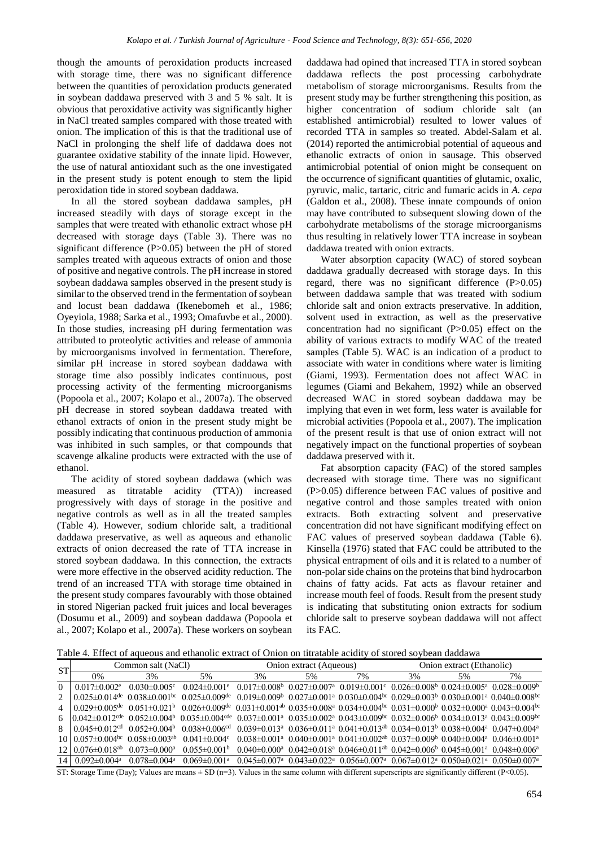though the amounts of peroxidation products increased with storage time, there was no significant difference between the quantities of peroxidation products generated in soybean daddawa preserved with 3 and 5 % salt. It is obvious that peroxidative activity was significantly higher in NaCl treated samples compared with those treated with onion. The implication of this is that the traditional use of NaCl in prolonging the shelf life of daddawa does not guarantee oxidative stability of the innate lipid. However, the use of natural antioxidant such as the one investigated in the present study is potent enough to stem the lipid peroxidation tide in stored soybean daddawa.

In all the stored soybean daddawa samples, pH increased steadily with days of storage except in the samples that were treated with ethanolic extract whose pH decreased with storage days (Table 3). There was no significant difference (P>0.05) between the pH of stored samples treated with aqueous extracts of onion and those of positive and negative controls. The pH increase in stored soybean daddawa samples observed in the present study is similar to the observed trend in the fermentation of soybean and locust bean daddawa (Ikenebomeh et al., 1986; Oyeyiola, 1988; Sarka et al., 1993; Omafuvbe et al., 2000). In those studies, increasing pH during fermentation was attributed to proteolytic activities and release of ammonia by microorganisms involved in fermentation. Therefore, similar pH increase in stored soybean daddawa with storage time also possibly indicates continuous, post processing activity of the fermenting microorganisms (Popoola et al., 2007; Kolapo et al., 2007a). The observed pH decrease in stored soybean daddawa treated with ethanol extracts of onion in the present study might be possibly indicating that continuous production of ammonia was inhibited in such samples, or that compounds that scavenge alkaline products were extracted with the use of ethanol.

The acidity of stored soybean daddawa (which was measured as titratable acidity (TTA)) increased progressively with days of storage in the positive and negative controls as well as in all the treated samples (Table 4). However, sodium chloride salt, a traditional daddawa preservative, as well as aqueous and ethanolic extracts of onion decreased the rate of TTA increase in stored soybean daddawa. In this connection, the extracts were more effective in the observed acidity reduction. The trend of an increased TTA with storage time obtained in the present study compares favourably with those obtained in stored Nigerian packed fruit juices and local beverages (Dosumu et al., 2009) and soybean daddawa (Popoola et al., 2007; Kolapo et al., 2007a). These workers on soybean daddawa had opined that increased TTA in stored soybean daddawa reflects the post processing carbohydrate metabolism of storage microorganisms. Results from the present study may be further strengthening this position, as higher concentration of sodium chloride salt (an established antimicrobial) resulted to lower values of recorded TTA in samples so treated. Abdel-Salam et al. (2014) reported the antimicrobial potential of aqueous and ethanolic extracts of onion in sausage. This observed antimicrobial potential of onion might be consequent on the occurrence of significant quantities of glutamic, oxalic, pyruvic, malic, tartaric, citric and fumaric acids in *A. cepa* (Galdon et al., 2008). These innate compounds of onion may have contributed to subsequent slowing down of the carbohydrate metabolisms of the storage microorganisms thus resulting in relatively lower TTA increase in soybean daddawa treated with onion extracts.

Water absorption capacity (WAC) of stored soybean daddawa gradually decreased with storage days. In this regard, there was no significant difference (P>0.05) between daddawa sample that was treated with sodium chloride salt and onion extracts preservative. In addition, solvent used in extraction, as well as the preservative concentration had no significant (P>0.05) effect on the ability of various extracts to modify WAC of the treated samples (Table 5). WAC is an indication of a product to associate with water in conditions where water is limiting (Giami, 1993). Fermentation does not affect WAC in legumes (Giami and Bekahem, 1992) while an observed decreased WAC in stored soybean daddawa may be implying that even in wet form, less water is available for microbial activities (Popoola et al., 2007). The implication of the present result is that use of onion extract will not negatively impact on the functional properties of soybean daddawa preserved with it.

Fat absorption capacity (FAC) of the stored samples decreased with storage time. There was no significant (P>0.05) difference between FAC values of positive and negative control and those samples treated with onion extracts. Both extracting solvent and preservative concentration did not have significant modifying effect on FAC values of preserved soybean daddawa (Table 6). Kinsella (1976) stated that FAC could be attributed to the physical entrapment of oils and it is related to a number of non-polar side chains on the proteins that bind hydrocarbon chains of fatty acids. Fat acts as flavour retainer and increase mouth feel of foods. Result from the present study is indicating that substituting onion extracts for sodium chloride salt to preserve soybean daddawa will not affect its FAC.

Table 4. Effect of aqueous and ethanolic extract of Onion on titratable acidity of stored soybean daddawa

| <b>ST</b>      | Common salt (NaCl)                                               |                                |                                                                                                                                                                                                                                                                                                                     |                                                                                                                                                                     | Onion extract (Aqueous) |                                                                                                                                                                    | Onion extract (Ethanolic) |    |    |
|----------------|------------------------------------------------------------------|--------------------------------|---------------------------------------------------------------------------------------------------------------------------------------------------------------------------------------------------------------------------------------------------------------------------------------------------------------------|---------------------------------------------------------------------------------------------------------------------------------------------------------------------|-------------------------|--------------------------------------------------------------------------------------------------------------------------------------------------------------------|---------------------------|----|----|
|                | 0%                                                               | 3%                             | 5%                                                                                                                                                                                                                                                                                                                  | 3%                                                                                                                                                                  | 5%                      | 7%                                                                                                                                                                 | 3%                        | 5% | 7% |
| $\Omega$       | $0.017 \pm 0.002$ <sup>e</sup>                                   | $0.030\pm0.005c$               | $0.024 \pm 0.001$ <sup>e</sup>                                                                                                                                                                                                                                                                                      |                                                                                                                                                                     |                         | $0.017\pm0.008^{\rm b}$ $0.027\pm0.007^{\rm a}$ $0.019\pm0.001^{\rm c}$ $0.026\pm0.008^{\rm b}$ $0.024\pm0.005^{\rm a}$ $0.028\pm0.009^{\rm b}$                    |                           |    |    |
| $\mathfrak{D}$ | $0.025 \pm 0.014$ de $0.038 \pm 0.001$ bc $0.025 \pm 0.009$ de   |                                |                                                                                                                                                                                                                                                                                                                     |                                                                                                                                                                     |                         | $0.019\pm0.009^{\rm b}$ $0.027\pm0.001^{\rm a}$ $0.030\pm0.004^{\rm bc}$ $0.029\pm0.003^{\rm b}$ $0.030\pm0.001^{\rm a}$ $0.040\pm0.008^{\rm bc}$                  |                           |    |    |
| 4              |                                                                  |                                | $0.029 \pm 0.005^{de}$ $0.051 \pm 0.021^b$ $0.026 \pm 0.009^{de}$ $0.031 \pm 0.001^{ab}$ $0.035 \pm 0.008^a$ $0.034 \pm 0.004^{bc}$ $0.031 \pm 0.000^b$ $0.032 \pm 0.000^a$ $0.043 \pm 0.004^{bc}$                                                                                                                  |                                                                                                                                                                     |                         |                                                                                                                                                                    |                           |    |    |
|                |                                                                  |                                | 6 $(0.042 \pm 0.012 \text{cde} 0.052 \pm 0.004 \text{b} 0.035 \pm 0.004 \text{cde} 0.004 \text{cde} 0.004 \text{cde} 0.004 \text{cde} 0.004 \text{cde} 0.004 \text{cde} 0.004 \text{cde} 0.004 \text{cde} 0.004 \text{cde} 0.004 \text{cde} 0.004 \text{cde} 0.004 \text{cde} 0.004 \text{cde} 0.004 \text{cde} 0.$ | $0.037\pm0.001^{\text{a}}$ $0.035\pm0.002^{\text{a}}$ $0.043\pm0.009^{\text{bc}}$ $0.032\pm0.006^{\text{b}}$ $0.034\pm0.013^{\text{a}}$ $0.043\pm0.009^{\text{bc}}$ |                         |                                                                                                                                                                    |                           |    |    |
| 8              | $0.045 \pm 0.012$ <sup>cd</sup> $0.052 \pm 0.004$ <sup>b</sup>   |                                | $0.038 \pm 0.006$ <sup>cd</sup>                                                                                                                                                                                                                                                                                     |                                                                                                                                                                     |                         | $0.039\pm0.013^a$ $0.036\pm0.011^a$ $0.041\pm0.013^{ab}$ $0.034\pm0.013^b$ $0.038\pm0.004^a$ $0.047\pm0.004^a$                                                     |                           |    |    |
|                | $10.057 \pm 0.004$ <sup>bc</sup> $0.058 \pm 0.003$ <sup>ab</sup> |                                | $0.041 \pm 0.004$ c                                                                                                                                                                                                                                                                                                 |                                                                                                                                                                     |                         | $0.038\pm0.001^{\text{a}}$ $0.040\pm0.001^{\text{a}}$ $0.041\pm0.002^{\text{ab}}$ $0.037\pm0.009^{\text{b}}$ $0.040\pm0.004^{\text{a}}$ $0.046\pm0.001^{\text{a}}$ |                           |    |    |
|                | $12 \mid 0.076 \pm 0.018$ <sup>ab</sup>                          | $0.073 \pm 0.000$ <sup>a</sup> | $0.055 \pm 0.001$ <sup>b</sup>                                                                                                                                                                                                                                                                                      |                                                                                                                                                                     |                         | $0.040\pm0.000^{\text{a}}$ $0.042\pm0.018^{\text{a}}$ $0.046\pm0.011^{\text{ab}}$ $0.042\pm0.006^{\text{b}}$ $0.045\pm0.001^{\text{a}}$ $0.048\pm0.006^{\text{a}}$ |                           |    |    |
|                | 14   $0.092 \pm 0.004$ <sup>a</sup>                              | $0.078 \pm 0.004$ <sup>a</sup> | $0.069 \pm 0.001$ <sup>a</sup>                                                                                                                                                                                                                                                                                      |                                                                                                                                                                     |                         | $0.045\pm0.007^{\text{a}}$ $0.043\pm0.022^{\text{a}}$ $0.056\pm0.007^{\text{a}}$ $0.067\pm0.012^{\text{a}}$ $0.050\pm0.021^{\text{a}}$ $0.050\pm0.007^{\text{a}}$  |                           |    |    |

ST: Storage Time (Day); Values are means  $\pm$  SD (n=3). Values in the same column with different superscripts are significantly different (P<0.05).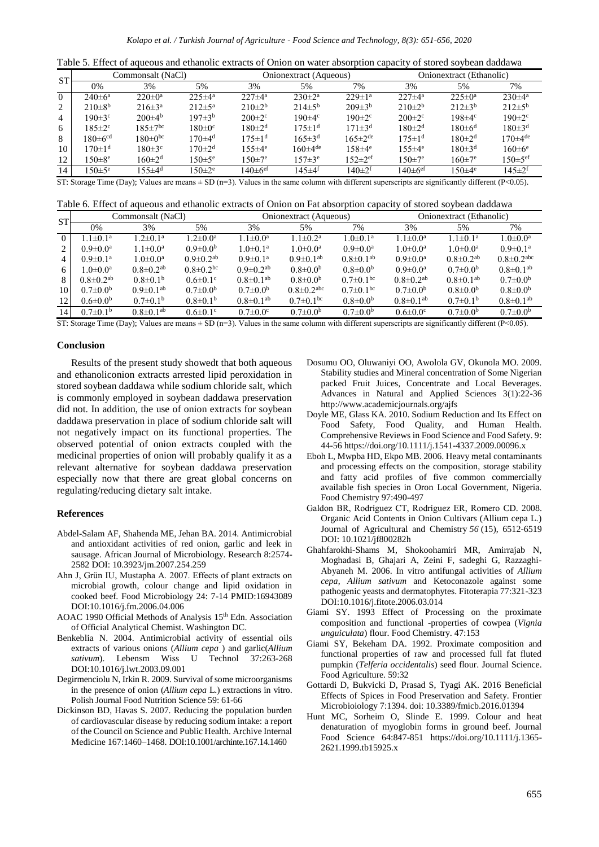| Table 5. Effect of aqueous and ethanolic extracts of Onion on water absorption capacity of stored sovbean daddawa |  |  |  |  |  |  |  |  |
|-------------------------------------------------------------------------------------------------------------------|--|--|--|--|--|--|--|--|
|-------------------------------------------------------------------------------------------------------------------|--|--|--|--|--|--|--|--|

| <b>ST</b> | Commonsalt (NaCl)         |                     |                          |                          | Onionextract (Aqueous) |                           | Onionextract (Ethanolic) |                     |                           |
|-----------|---------------------------|---------------------|--------------------------|--------------------------|------------------------|---------------------------|--------------------------|---------------------|---------------------------|
|           | 0%                        | 3%                  | 5%                       | 3%                       | 5%                     | 7%                        | 3%                       | 5%                  | 7%                        |
| $\Omega$  | $240 \pm 6^{\circ}$       | $220 \pm 0^{\rm a}$ | $225 \pm 4^{\circ}$      | $227 \pm 4^a$            | $230 \pm 2^a$          | $229 \pm 1^a$             | $227 \pm 4^a$            | $225 \pm 0^{\circ}$ | $230\pm4^{\circ}$         |
| 2         | $210\pm8^{b}$             | $216\pm3^{\rm a}$   | $212 \pm 5^{\rm a}$      | $210\pm2^{b}$            | $214\pm5^{6}$          | $209\pm3^{b}$             | $210\pm2^{b}$            | $212\pm3^{b}$       | $212\pm5^{\rm b}$         |
| 4         | $190 \pm 3^{\circ}$       | $200\pm4^{\rm b}$   | $197 \pm 3^{b}$          | $200 \pm 2$ °            | $190 \pm 4$ °          | $190 \pm 2$ <sup>c</sup>  | $200 \pm 2$ °            | $198\pm4$ c         | $190 \pm 2$ <sup>c</sup>  |
| 6         | $185 \pm 2$ °             | $185 \pm 7^{bc}$    | $180 \pm 0$ <sup>c</sup> | $180 \pm 2^d$            | $175 \pm 14$           | $171 \pm 3^d$             | $180 \pm 2^d$            | $180 \pm 6^d$       | $180 \pm 3^d$             |
| 8         | $180 \pm 6$ <sup>cd</sup> | $180 \pm 0^{bc}$    | 170 $\pm$ 4 <sup>d</sup> | $175 \pm 14$             | $165 \pm 3^d$          | $165 \pm 2^{\text{de}}$   | $175 \pm 14$             | $180 \pm 2^{d}$     | $170\pm4$ de              |
| 10        | $170\pm1$ <sup>d</sup>    | $180 \pm 3$ °       | $170 \pm 2^d$            | $155 \pm 4^e$            | $160\pm4$ de           | $158 \pm 4^e$             | $155 \pm 4^e$            | $180 \pm 3^d$       | $160 \pm 6^e$             |
| 12        | $150 \pm 8^e$             | $160 \pm 2^d$       | $150 \pm 5^e$            | $150 \pm 7^e$            | $157 \pm 3^e$          | $152 \pm 2$ <sup>ef</sup> | $150 \pm 7^e$            | $160 \pm 7^e$       | $150 \pm 5$ <sup>ef</sup> |
| 14        | $50 \pm 5^e$              | $155 \pm 4^d$       | $150 \pm 2^e$            | $40 \pm 6$ <sup>ef</sup> | 145±4 <sup>f</sup>     | $140 \pm 2^{f}$           | 140 $\pm$ 6 $^{\rm ef}$  | $150\pm4^e$         | $145 \pm 2^{f}$           |

ST: Storage Time (Day); Values are means  $\pm$  SD (n=3). Values in the same column with different superscripts are significantly different (P<0.05).

| ST'      | Commonsalt (NaCl)        |                             |                             |                             | Onionextract (Aqueous)       |                             | Onionextract (Ethanolic)    |                             |                              |
|----------|--------------------------|-----------------------------|-----------------------------|-----------------------------|------------------------------|-----------------------------|-----------------------------|-----------------------------|------------------------------|
|          | 0%                       | 3%                          | 5%                          | 3%                          | 5%                           | 7%                          | 3%                          | 5%                          | 7%                           |
| $\Omega$ | $1.1 \pm 0.1^a$          | $1.2 \pm 0.1^{\text{a}}$    | $1.2 \pm 0.0^{\text{a}}$    | $1.1 \pm 0.0^a$             | $1.1 \pm 0.2^a$              | $1.0 \pm 0.1^a$             | $1.1 \pm 0.0^a$             | $1.1 \pm 0.1^a$             | $1.0 \pm 0.0^a$              |
|          | $0.9 \pm 0.0^a$          | $1.1 \pm 0.0^a$             | $0.9 \pm 0.0^b$             | $1.0 \pm 0.1^a$             | $1.0 \pm 0.0^a$              | $0.9 \pm 0.0^{\text{a}}$    | $1.0 \pm 0.0^a$             | $1.0 \pm 0.0^a$             | $0.9 \pm 0.1^a$              |
| 4        | $0.9 \pm 0.1^{\text{a}}$ | $1.0 \pm 0.0^a$             | $0.9 \pm 0.2$ <sup>ab</sup> | $0.9 \pm 0.1^{\text{a}}$    | $0.9 \pm 0.1$ <sup>ab</sup>  | $0.8 \pm 0.1$ <sup>ab</sup> | $0.9 \pm 0.0^a$             | $0.8 \pm 0.2$ <sup>ab</sup> | $0.8 \pm 0.2$ <sup>abc</sup> |
| 6        | $1.0 \pm 0.0^a$          | $0.8 \pm 0.2$ <sup>ab</sup> | $0.8 \pm 0.2$ <sup>bc</sup> | $0.9 \pm 0.2$ <sup>ab</sup> | $0.8 \pm 0.0^b$              | $0.8 \pm 0.0^b$             | $0.9 \pm 0.0^{\text{a}}$    | $0.7 \pm 0.0^b$             | $0.8 \pm 0.1$ <sup>ab</sup>  |
|          | $0.8 \pm 0.2^{ab}$       | $0.8\pm0.1b$                | $0.6 \pm 0.1$ <sup>c</sup>  | $0.8 \pm 0.1$ <sup>ab</sup> | $0.8 \pm 0.0^b$              | $0.7\pm0.1$ <sup>bc</sup>   | $0.8 \pm 0.2$ <sup>ab</sup> | $0.8\pm0.1^{ab}$            | $0.7 \pm 0.0^{\rm b}$        |
| 10       | $0.7 \pm 0.0^{\circ}$    | $0.9 \pm 0.1$ <sup>ab</sup> | $0.7 \pm 0.0^b$             | $0.7 \pm 0.0^{\circ}$       | $0.8 \pm 0.2$ <sup>abc</sup> | $0.7\pm0.1$ <sup>bc</sup>   | $0.7 \pm 0.0^b$             | $0.8 \pm 0.0^b$             | $0.8 \pm 0.0^b$              |
| 12       | $0.6 \pm 0.0^b$          | $0.7\pm0.1b$                | $0.8\pm0.1b$                | $0.8 \pm 0.1$ <sup>ab</sup> | $0.7\pm0.1$ <sup>bc</sup>    | $0.8 \pm 0.0^b$             | $0.8 \pm 0.1$ <sup>ab</sup> | $0.7\pm0.1b$                | $0.8 \pm 0.1$ <sup>ab</sup>  |
| 14       | $0.7\pm0.1b$             | $0.8 \pm 0.1$ <sup>ab</sup> | $0.6 \pm 0.1$ <sup>c</sup>  | $0.7 \pm 0.0$ <sup>c</sup>  | $0.7 \pm 0.0^{\rm b}$        | $0.7 \pm 0.0^b$             | $0.6 \pm 0.0$ <sup>c</sup>  | $0.7 \pm 0.0^{\rm b}$       | $0.7 \pm 0.0^{\rm b}$        |

ST: Storage Time (Day); Values are means  $\pm$  SD (n=3). Values in the same column with different superscripts are significantly different (P<0.05).

## **Conclusion**

Results of the present study showedt that both aqueous and ethanoliconion extracts arrested lipid peroxidation in stored soybean daddawa while sodium chloride salt, which is commonly employed in soybean daddawa preservation did not. In addition, the use of onion extracts for soybean daddawa preservation in place of sodium chloride salt will not negatively impact on its functional properties. The observed potential of onion extracts coupled with the medicinal properties of onion will probably qualify it as a relevant alternative for soybean daddawa preservation especially now that there are great global concerns on regulating/reducing dietary salt intake.

#### **References**

- Abdel-Salam AF, Shahenda ME, Jehan BA. 2014. Antimicrobial and antioxidant activities of red onion, garlic and leek in sausage. African Journal of Microbiology. Research 8:2574- 2582 DOI: 10.3923/jm.2007.254.259
- Ahn J, Grün IU, Mustapha A. 2007. Effects of plant extracts on microbial growth, colour change and lipid oxidation in cooked beef. Food Microbiology 24: 7-14 PMID:16943089 DOI:10.1016/j.fm.2006.04.006
- AOAC 1990 Official Methods of Analysis 15th Edn. Association of Official Analytical Chemist. Washington DC.
- Benkeblia N. 2004. Antimicrobial activity of essential oils extracts of various onions (*Allium cepa* ) and garlic(*Allium sativum*). Lebensm Wiss U Technol 37:263-268 DOI:10.1016/j.lwt.2003.09.001
- Degirmenciolu N, Irkin R. 2009. Survival of some microorganisms in the presence of onion (*Allium cepa* L.) extractions in vitro. Polish Journal Food Nutrition Science 59: 61-66
- Dickinson BD, Havas S. 2007. Reducing the population burden of cardiovascular disease by reducing sodium intake: a report of the Council on Science and Public Health. Archive Internal Medicine 167:1460–1468. DOI:10.1001/archinte.167.14.1460
- Dosumu OO, Oluwaniyi OO, Awolola GV, Okunola MO. 2009. Stability studies and Mineral concentration of Some Nigerian packed Fruit Juices, Concentrate and Local Beverages. Advances in Natural and Applied Sciences 3(1):22-36 http://www.academicjournals.org/ajfs
- Doyle ME, Glass KA. 2010. Sodium Reduction and Its Effect on Food Safety, Food Quality, and Human Health. Comprehensive Reviews in Food Science and Food Safety. 9: 44-56 https://doi.org/10.1111/j.1541-4337.2009.00096.x
- Eboh L, Mwpba HD, Ekpo MB. 2006. Heavy metal contaminants and processing effects on the composition, storage stability and fatty acid profiles of five common commercially available fish species in Oron Local Government, Nigeria. Food Chemistry 97:490-497
- Galdon BR, Rodríguez CT, Rodríguez ER, Romero CD. 2008. Organic Acid Contents in Onion Cultivars (Allium cepa L.) Journal of Agricultural and Chemistry *56* (15), 6512-6519 DOI: 10.1021/jf800282h
- Ghahfarokhi-Shams M, Shokoohamiri MR, Amirrajab N, Moghadasi B, Ghajari A, Zeini F, sadeghi G, Razzaghi-Abyaneh M. 2006. In vitro antifungal activities of *Allium cepa*, *Allium sativum* and Ketoconazole against some pathogenic yeasts and dermatophytes. Fitoterapia 77:321-323 DOI:10.1016/j.fitote.2006.03.014
- Giami SY. 1993 Effect of Processing on the proximate composition and functional -properties of cowpea (*Vignia unguiculata*) flour. Food Chemistry. 47:153
- Giami SY, Bekeham DA. 1992. Proximate composition and functional properties of raw and processed full fat fluted pumpkin (*Telferia occidentalis*) seed flour. Journal Science. Food Agriculture. 59:32
- Gottardi D, Bukvicki D, Prasad S, Tyagi AK. 2016 Beneficial Effects of Spices in Food Preservation and Safety. Frontier Microbioiology 7:1394. doi: 10.3389/fmicb.2016.01394
- Hunt MC, Sorheim O, Slinde E. 1999. Colour and heat denaturation of myoglobin forms in ground beef. Journal Food Science 64:847-851 https://doi.org/10.1111/j.1365- 2621.1999.tb15925.x